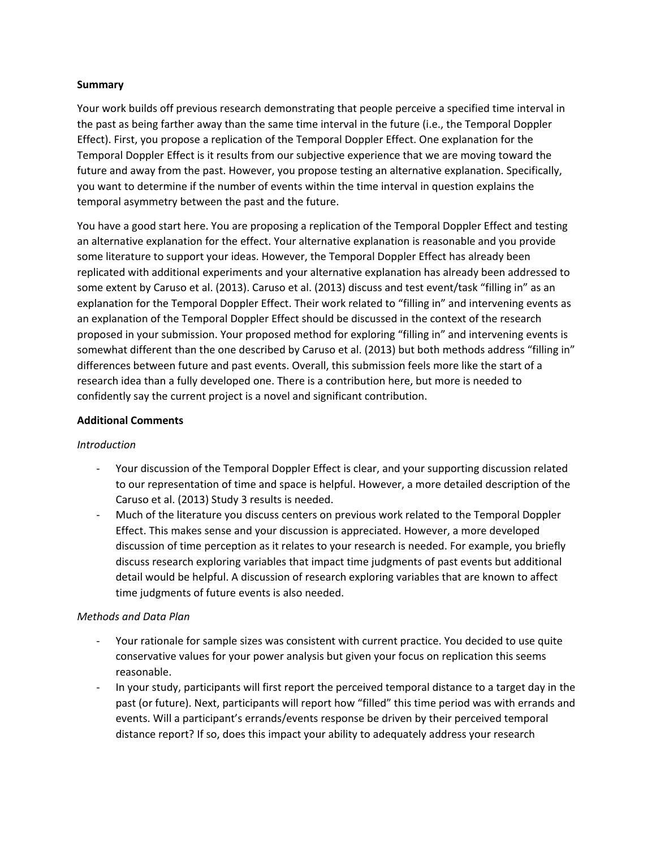## **Summary**

Your work builds off previous research demonstrating that people perceive a specified time interval in the past as being farther away than the same time interval in the future (i.e., the Temporal Doppler Effect). First, you propose a replication of the Temporal Doppler Effect. One explanation for the Temporal Doppler Effect is it results from our subjective experience that we are moving toward the future and away from the past. However, you propose testing an alternative explanation. Specifically, you want to determine if the number of events within the time interval in question explains the temporal asymmetry between the past and the future.

You have a good start here. You are proposing a replication of the Temporal Doppler Effect and testing an alternative explanation for the effect. Your alternative explanation is reasonable and you provide some literature to support your ideas. However, the Temporal Doppler Effect has already been replicated with additional experiments and your alternative explanation has already been addressed to some extent by Caruso et al. (2013). Caruso et al. (2013) discuss and test event/task "filling in" as an explanation for the Temporal Doppler Effect. Their work related to "filling in" and intervening events as an explanation of the Temporal Doppler Effect should be discussed in the context of the research proposed in your submission. Your proposed method for exploring "filling in" and intervening events is somewhat different than the one described by Caruso et al. (2013) but both methods address "filling in" differences between future and past events. Overall, this submission feels more like the start of a research idea than a fully developed one. There is a contribution here, but more is needed to confidently say the current project is a novel and significant contribution.

## **Additional Comments**

## *Introduction*

- Your discussion of the Temporal Doppler Effect is clear, and your supporting discussion related to our representation of time and space is helpful. However, a more detailed description of the Caruso et al. (2013) Study 3 results is needed.
- Much of the literature you discuss centers on previous work related to the Temporal Doppler Effect. This makes sense and your discussion is appreciated. However, a more developed discussion of time perception as it relates to your research is needed. For example, you briefly discuss research exploring variables that impact time judgments of past events but additional detail would be helpful. A discussion of research exploring variables that are known to affect time judgments of future events is also needed.

## *Methods and Data Plan*

- Your rationale for sample sizes was consistent with current practice. You decided to use quite conservative values for your power analysis but given your focus on replication this seems reasonable.
- In your study, participants will first report the perceived temporal distance to a target day in the past (or future). Next, participants will report how "filled" this time period was with errands and events. Will a participant's errands/events response be driven by their perceived temporal distance report? If so, does this impact your ability to adequately address your research